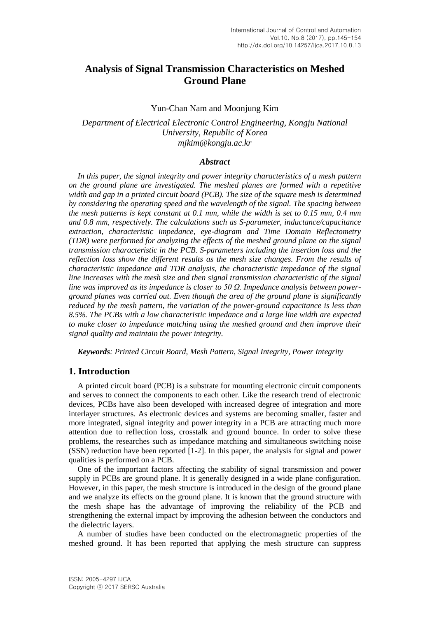# **Analysis of Signal Transmission Characteristics on Meshed Ground Plane**

## Yun-Chan Nam and Moonjung Kim

*Department of Electrical Electronic Control Engineering, Kongju National University, Republic of Korea mjkim@kongju.ac.kr*

#### *Abstract*

*In this paper, the signal integrity and power integrity characteristics of a mesh pattern on the ground plane are investigated. The meshed planes are formed with a repetitive width and gap in a printed circuit board (PCB). The size of the square mesh is determined by considering the operating speed and the wavelength of the signal. The spacing between the mesh patterns is kept constant at 0.1 mm, while the width is set to 0.15 mm, 0.4 mm and 0.8 mm, respectively. The calculations such as S-parameter, inductance/capacitance extraction, characteristic impedance, eye-diagram and Time Domain Reflectometry (TDR) were performed for analyzing the effects of the meshed ground plane on the signal transmission characteristic in the PCB. S-parameters including the insertion loss and the reflection loss show the different results as the mesh size changes. From the results of characteristic impedance and TDR analysis, the characteristic impedance of the signal line increases with the mesh size and then signal transmission characteristic of the signal line was improved as its impedance is closer to 50 Ω. Impedance analysis between powerground planes was carried out. Even though the area of the ground plane is significantly reduced by the mesh pattern, the variation of the power-ground capacitance is less than 8.5%. The PCBs with a low characteristic impedance and a large line width are expected to make closer to impedance matching using the meshed ground and then improve their signal quality and maintain the power integrity.*

*Keywords: Printed Circuit Board, Mesh Pattern, Signal Integrity, Power Integrity*

# **1. Introduction**

A printed circuit board (PCB) is a substrate for mounting electronic circuit components and serves to connect the components to each other. Like the research trend of electronic devices, PCBs have also been developed with increased degree of integration and more interlayer structures. As electronic devices and systems are becoming smaller, faster and more integrated, signal integrity and power integrity in a PCB are attracting much more attention due to reflection loss, crosstalk and ground bounce. In order to solve these problems, the researches such as impedance matching and simultaneous switching noise (SSN) reduction have been reported [1-2]. In this paper, the analysis for signal and power qualities is performed on a PCB.

One of the important factors affecting the stability of signal transmission and power supply in PCBs are ground plane. It is generally designed in a wide plane configuration. However, in this paper, the mesh structure is introduced in the design of the ground plane and we analyze its effects on the ground plane. It is known that the ground structure with the mesh shape has the advantage of improving the reliability of the PCB and strengthening the external impact by improving the adhesion between the conductors and the dielectric layers.

A number of studies have been conducted on the electromagnetic properties of the meshed ground. It has been reported that applying the mesh structure can suppress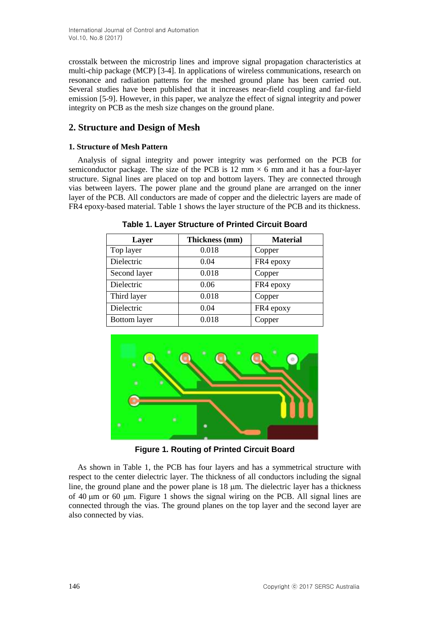crosstalk between the microstrip lines and improve signal propagation characteristics at multi-chip package (MCP) [3-4]. In applications of wireless communications, research on resonance and radiation patterns for the meshed ground plane has been carried out. Several studies have been published that it increases near-field coupling and far-field emission [5-9]. However, in this paper, we analyze the effect of signal integrity and power integrity on PCB as the mesh size changes on the ground plane.

# **2. Structure and Design of Mesh**

# **1. Structure of Mesh Pattern**

Analysis of signal integrity and power integrity was performed on the PCB for semiconductor package. The size of the PCB is 12 mm  $\times$  6 mm and it has a four-layer structure. Signal lines are placed on top and bottom layers. They are connected through vias between layers. The power plane and the ground plane are arranged on the inner layer of the PCB. All conductors are made of copper and the dielectric layers are made of FR4 epoxy-based material. Table 1 shows the layer structure of the PCB and its thickness.

**Table 1. Layer Structure of Printed Circuit Board**

| Layer               | Thickness (mm) | <b>Material</b> |
|---------------------|----------------|-----------------|
| Top layer           | 0.018          | Copper          |
| Dielectric          | 0.04           | FR4 epoxy       |
| Second layer        | 0.018          | Copper          |
| Dielectric          | 0.06           | FR4 epoxy       |
| Third layer         | 0.018          | Copper          |
| Dielectric          | 0.04           | FR4 epoxy       |
| <b>Bottom</b> layer | 0.018          | Copper          |



**Figure 1. Routing of Printed Circuit Board**

As shown in Table 1, the PCB has four layers and has a symmetrical structure with respect to the center dielectric layer. The thickness of all conductors including the signal line, the ground plane and the power plane is  $18 \mu m$ . The dielectric layer has a thickness of 40  $\mu$ m or 60  $\mu$ m. Figure 1 shows the signal wiring on the PCB. All signal lines are connected through the vias. The ground planes on the top layer and the second layer are also connected by vias.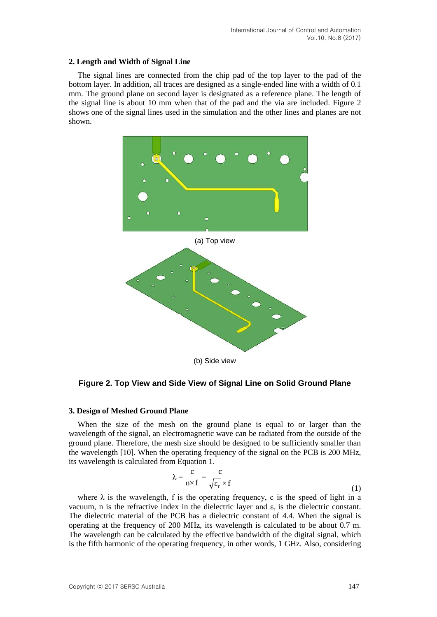## **2. Length and Width of Signal Line**

The signal lines are connected from the chip pad of the top layer to the pad of the bottom layer. In addition, all traces are designed as a single-ended line with a width of 0.1 mm. The ground plane on second layer is designated as a reference plane. The length of the signal line is about 10 mm when that of the pad and the via are included. Figure 2 shows one of the signal lines used in the simulation and the other lines and planes are not shown.



## **Figure 2. Top View and Side View of Signal Line on Solid Ground Plane**

#### **3. Design of Meshed Ground Plane**

When the size of the mesh on the ground plane is equal to or larger than the wavelength of the signal, an electromagnetic wave can be radiated from the outside of the ground plane. Therefore, the mesh size should be designed to be sufficiently smaller than the wavelength [10]. When the operating frequency of the signal on the PCB is 200 MHz, its wavelength is calculated from Equation 1.

$$
\lambda = \frac{c}{n \times f} = \frac{c}{\sqrt{\varepsilon_r} \times f}
$$
 (1)

where  $\lambda$  is the wavelength, f is the operating frequency, c is the speed of light in a vacuum, n is the refractive index in the dielectric layer and  $\varepsilon_r$  is the dielectric constant. The dielectric material of the PCB has a dielectric constant of 4.4. When the signal is operating at the frequency of 200 MHz, its wavelength is calculated to be about 0.7 m. The wavelength can be calculated by the effective bandwidth of the digital signal, which is the fifth harmonic of the operating frequency, in other words, 1 GHz. Also, considering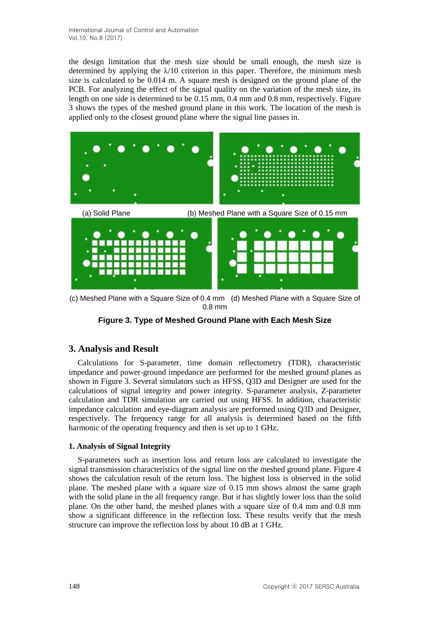the design limitation that the mesh size should be small enough, the mesh size is determined by applying the  $\lambda$ 10 criterion in this paper. Therefore, the minimum mesh size is calculated to be 0.014 m. A square mesh is designed on the ground plane of the PCB. For analyzing the effect of the signal quality on the variation of the mesh size, its length on one side is determined to be 0.15 mm, 0.4 mm and 0.8 mm, respectively. Figure 3 shows the types of the meshed ground plane in this work. The location of the mesh is applied only to the closest ground plane where the signal line passes in.



(c) Meshed Plane with a Square Size of 0.4 mm (d) Meshed Plane with a Square Size of 0.8 mm

**Figure 3. Type of Meshed Ground Plane with Each Mesh Size**

# **3. Analysis and Result**

Calculations for S-parameter, time domain reflectometry (TDR), characteristic impedance and power-ground impedance are performed for the meshed ground planes as shown in Figure 3. Several simulators such as HFSS, Q3D and Designer are used for the calculations of signal integrity and power integrity. S-parameter analysis, Z-parameter calculation and TDR simulation are carried out using HFSS. In addition, characteristic impedance calculation and eye-diagram analysis are performed using Q3D and Designer, respectively. The frequency range for all analysis is determined based on the fifth harmonic of the operating frequency and then is set up to 1 GHz.

# **1. Analysis of Signal Integrity**

S-parameters such as insertion loss and return loss are calculated to investigate the signal transmission characteristics of the signal line on the meshed ground plane. Figure 4 shows the calculation result of the return loss. The highest loss is observed in the solid plane. The meshed plane with a square size of 0.15 mm shows almost the same graph with the solid plane in the all frequency range. But it has slightly lower loss than the solid plane. On the other hand, the meshed planes with a square size of 0.4 mm and 0.8 mm show a significant difference in the reflection loss. These results verify that the mesh structure can improve the reflection loss by about 10 dB at 1 GHz.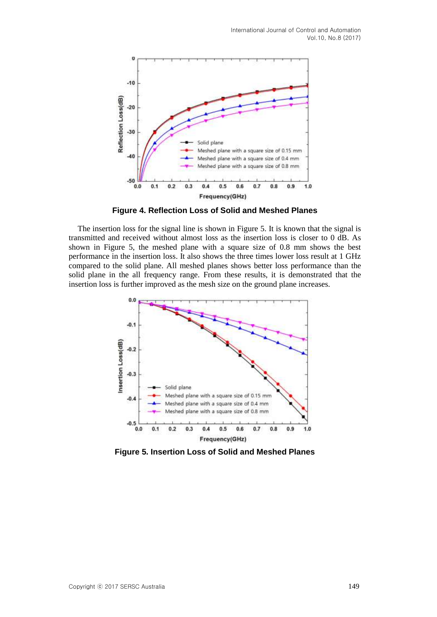

**Figure 4. Reflection Loss of Solid and Meshed Planes**

The insertion loss for the signal line is shown in Figure 5. It is known that the signal is transmitted and received without almost loss as the insertion loss is closer to 0 dB. As shown in Figure 5, the meshed plane with a square size of 0.8 mm shows the best performance in the insertion loss. It also shows the three times lower loss result at 1 GHz compared to the solid plane. All meshed planes shows better loss performance than the solid plane in the all frequency range. From these results, it is demonstrated that the insertion loss is further improved as the mesh size on the ground plane increases.



**Figure 5. Insertion Loss of Solid and Meshed Planes**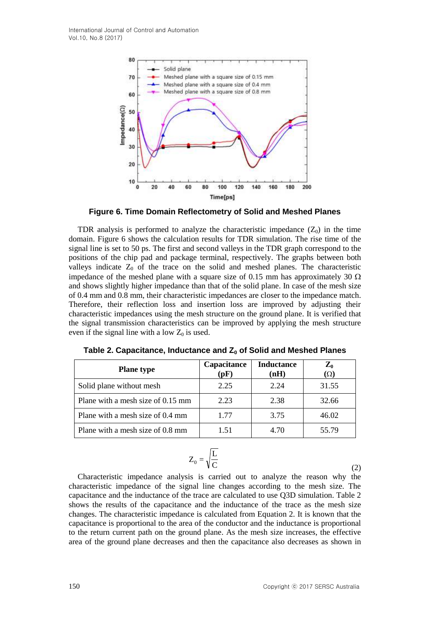

**Figure 6. Time Domain Reflectometry of Solid and Meshed Planes**

TDR analysis is performed to analyze the characteristic impedance  $(Z_0)$  in the time domain. Figure 6 shows the calculation results for TDR simulation. The rise time of the signal line is set to 50 ps. The first and second valleys in the TDR graph correspond to the positions of the chip pad and package terminal, respectively. The graphs between both valleys indicate  $Z_0$  of the trace on the solid and meshed planes. The characteristic impedance of the meshed plane with a square size of 0.15 mm has approximately 30  $\Omega$ and shows slightly higher impedance than that of the solid plane. In case of the mesh size of 0.4 mm and 0.8 mm, their characteristic impedances are closer to the impedance match. Therefore, their reflection loss and insertion loss are improved by adjusting their characteristic impedances using the mesh structure on the ground plane. It is verified that the signal transmission characteristics can be improved by applying the mesh structure even if the signal line with a low  $Z_0$  is used.

| <b>Plane type</b>                 | Capacitance<br>(pF) | <b>Inductance</b><br>(nH) | $\mathbf{Z}_0$<br>$(\Omega)$ |
|-----------------------------------|---------------------|---------------------------|------------------------------|
| Solid plane without mesh          | 2.25                | 2.24                      | 31.55                        |
| Plane with a mesh size of 0.15 mm | 2.23                | 2.38                      | 32.66                        |
| Plane with a mesh size of 0.4 mm  | 1.77                | 3.75                      | 46.02                        |
| Plane with a mesh size of 0.8 mm  | 1.51                | 4.70                      | 55.79                        |

| Table 2. Capacitance, Inductance and $Z_0$ of Solid and Meshed Planes |  |  |  |
|-----------------------------------------------------------------------|--|--|--|
|-----------------------------------------------------------------------|--|--|--|

$$
Z_0 = \sqrt{\frac{L}{C}}
$$
 (2)

Characteristic impedance analysis is carried out to analyze the reason why the characteristic impedance of the signal line changes according to the mesh size. The capacitance and the inductance of the trace are calculated to use Q3D simulation. Table 2 shows the results of the capacitance and the inductance of the trace as the mesh size changes. The characteristic impedance is calculated from Equation 2. It is known that the capacitance is proportional to the area of the conductor and the inductance is proportional to the return current path on the ground plane. As the mesh size increases, the effective area of the ground plane decreases and then the capacitance also decreases as shown in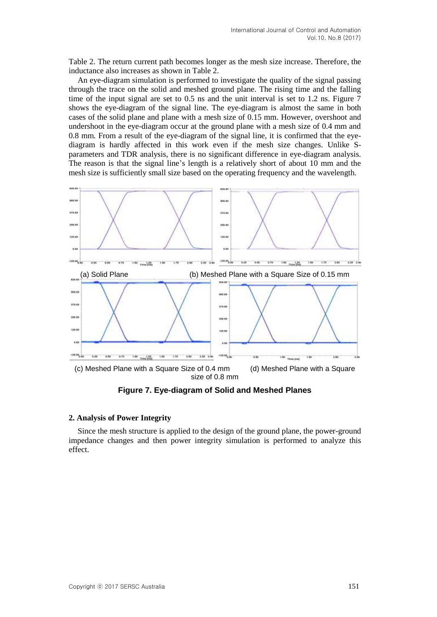Table 2. The return current path becomes longer as the mesh size increase. Therefore, the inductance also increases as shown in Table 2.

An eye-diagram simulation is performed to investigate the quality of the signal passing through the trace on the solid and meshed ground plane. The rising time and the falling time of the input signal are set to 0.5 ns and the unit interval is set to 1.2 ns. Figure 7 shows the eye-diagram of the signal line. The eye-diagram is almost the same in both cases of the solid plane and plane with a mesh size of 0.15 mm. However, overshoot and undershoot in the eye-diagram occur at the ground plane with a mesh size of 0.4 mm and 0.8 mm. From a result of the eye-diagram of the signal line, it is confirmed that the eyediagram is hardly affected in this work even if the mesh size changes. Unlike Sparameters and TDR analysis, there is no significant difference in eye-diagram analysis. The reason is that the signal line's length is a relatively short of about 10 mm and the mesh size is sufficiently small size based on the operating frequency and the wavelength.



**Figure 7. Eye-diagram of Solid and Meshed Planes**

## **2. Analysis of Power Integrity**

Since the mesh structure is applied to the design of the ground plane, the power-ground impedance changes and then power integrity simulation is performed to analyze this effect.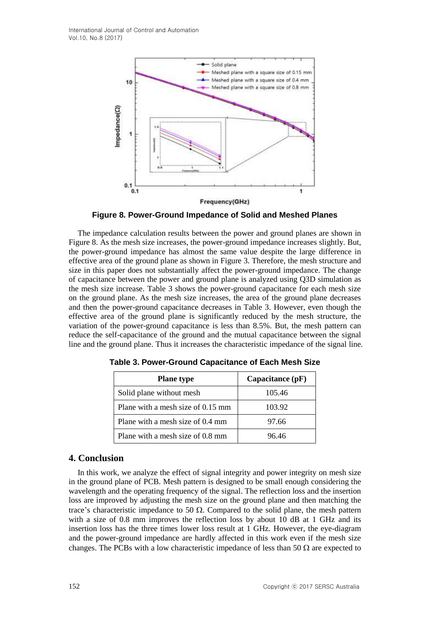

**Figure 8. Power-Ground Impedance of Solid and Meshed Planes**

The impedance calculation results between the power and ground planes are shown in Figure 8. As the mesh size increases, the power-ground impedance increases slightly. But, the power-ground impedance has almost the same value despite the large difference in effective area of the ground plane as shown in Figure 3. Therefore, the mesh structure and size in this paper does not substantially affect the power-ground impedance. The change of capacitance between the power and ground plane is analyzed using Q3D simulation as the mesh size increase. Table 3 shows the power-ground capacitance for each mesh size on the ground plane. As the mesh size increases, the area of the ground plane decreases and then the power-ground capacitance decreases in Table 3. However, even though the effective area of the ground plane is significantly reduced by the mesh structure, the variation of the power-ground capacitance is less than 8.5%. But, the mesh pattern can reduce the self-capacitance of the ground and the mutual capacitance between the signal line and the ground plane. Thus it increases the characteristic impedance of the signal line.

| <b>Plane</b> type                 | Capacitance $(pF)$ |  |
|-----------------------------------|--------------------|--|
| Solid plane without mesh          | 105.46             |  |
| Plane with a mesh size of 0.15 mm | 103.92             |  |
| Plane with a mesh size of 0.4 mm  | 97.66              |  |
| Plane with a mesh size of 0.8 mm  | 96.46              |  |

**Table 3. Power-Ground Capacitance of Each Mesh Size**

# **4. Conclusion**

In this work, we analyze the effect of signal integrity and power integrity on mesh size in the ground plane of PCB. Mesh pattern is designed to be small enough considering the wavelength and the operating frequency of the signal. The reflection loss and the insertion loss are improved by adjusting the mesh size on the ground plane and then matching the trace's characteristic impedance to 50  $\Omega$ . Compared to the solid plane, the mesh pattern with a size of 0.8 mm improves the reflection loss by about 10 dB at 1 GHz and its insertion loss has the three times lower loss result at 1 GHz. However, the eye-diagram and the power-ground impedance are hardly affected in this work even if the mesh size changes. The PCBs with a low characteristic impedance of less than 50  $\Omega$  are expected to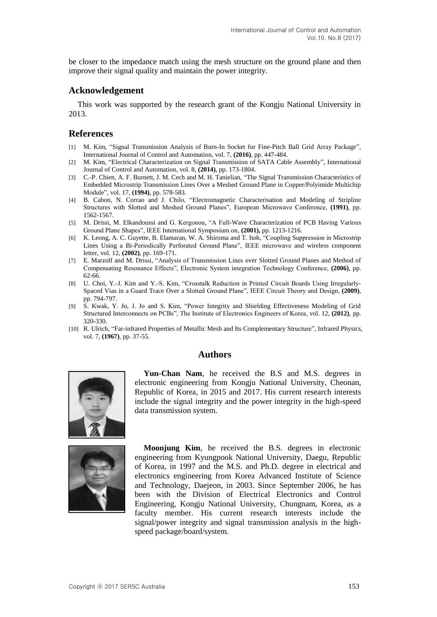be closer to the impedance match using the mesh structure on the ground plane and then improve their signal quality and maintain the power integrity.

## **Acknowledgement**

This work was supported by the research grant of the Kongju National University in 2013.

### **References**

- [1] M. Kim, "Signal Transmission Analysis of Burn-In Socket for Fine-Pitch Ball Grid Array Package", International Journal of Control and Automation, vol. 7, **(2016)**, pp. 447-484.
- [2] M. Kim, "Electrical Characterization on Signal Transmission of SATA Cable Assembly", International Journal of Control and Automation, vol. 8, **(2014)**, pp. 173-1804.
- [3] C.-P. Chien, A. F. Burnett, J. M. Cech and M. H. Tanielian, "The Signal Transmission Characteristics of Embedded Microstrip Transmission Lines Over a Meshed Ground Plane in Copper/Polyimide Multichip Module", vol. 17, **(1994)**, pp. 578-583.
- [4] B. Cabon, N. Corrao and J. Chilo, "Electromagnetic Characterisation and Modeling of Stripline Structures with Slotted and Meshed Ground Planes", European Microwave Conference, **(1991)**, pp. 1562-1567.
- [5] M. Drissi, M. Elkandoussi and G. Kergonou, "A Full-Wave Characterization of PCB Having Various Ground Plane Shapes", IEEE International Symposium on, **(2001),** pp. 1213-1216.
- [6] K. Leong, A. C. Guyette, B. Elamaran, W. A. Shiroma and T. Itoh, "Coupling Suppression in Microstrip Lines Using a Bi-Periodically Perforated Ground Plane", IEEE microwave and wireless component letter, vol. 12, **(2002)**, pp. 169-171.
- [7] E. Marzolf and M. Drissi, "Analysis of Transmission Lines over Slotted Ground Planes and Method of Compensating Resonance Effects", Electronic System integration Technology Conference, **(2006)**, pp. 62-66.
- [8] U. Choi, Y.-J. Kim and Y.-S. Kim, "Crosstalk Reduction in Printed Circuit Boards Using Irregularly-Spaced Vias in a Guard Trace Over a Slotted Ground Plane", IEEE Circuit Theory and Design, **(2009)**, pp. 794-797.
- [9] S. Kwak, Y. Jo, J. Jo and S. Kim, "Power Integrity and Shielding Effectiveness Modeling of Grid Structured Interconnects on PCBs", The Institute of Electronics Engineers of Korea, vol. 12, **(2012)**, pp. 320-330.
- [10] R. Ulrich, "Far-infrared Properties of Metallic Mesh and Its Complementary Structure", Infrared Physics, vol. 7, **(1967)**, pp. 37-55.

#### **Authors**



**Yun-Chan Nam**, he received the B.S and M.S. degrees in electronic engineering from Kongju National University, Cheonan, Republic of Korea, in 2015 and 2017. His current research interests include the signal integrity and the power integrity in the high-speed data transmission system.



**Moonjung Kim**, he received the B.S. degrees in electronic engineering from Kyungpook National University, Daegu, Republic of Korea, in 1997 and the M.S. and Ph.D. degree in electrical and electronics engineering from Korea Advanced Institute of Science and Technology, Daejeon, in 2003. Since September 2006, he has been with the Division of Electrical Electronics and Control Engineering, Kongju National University, Chungnam, Korea, as a faculty member. His current research interests include the signal/power integrity and signal transmission analysis in the highspeed package/board/system.